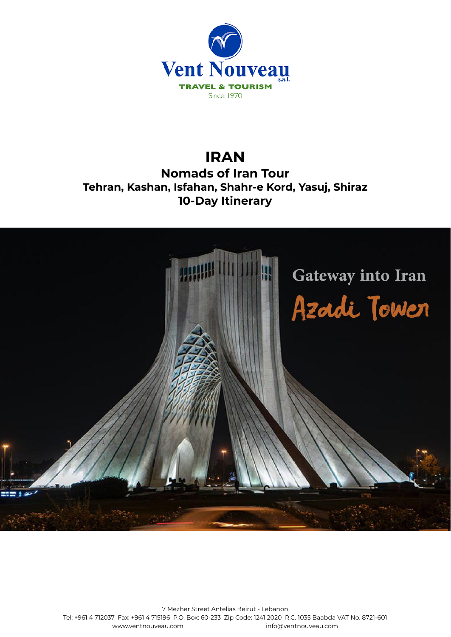

# **IRAN Nomads of Iran Tour Tehran, Kashan, Isfahan, Shahr-e Kord, Yasuj, Shiraz 10-Day Itinerary**



7 Mezher Street Antelias Beirut - Lebanon Tel: +961 4 712037 Fax: +961 4 715196 P.O. Box: 60-233 Zip Code: 1241 2020 R.C. 1035 Baabda VAT No. 8721-601 [www.ventnouveau.com](http://www.ventnouveau.com) info@ventnouveau.com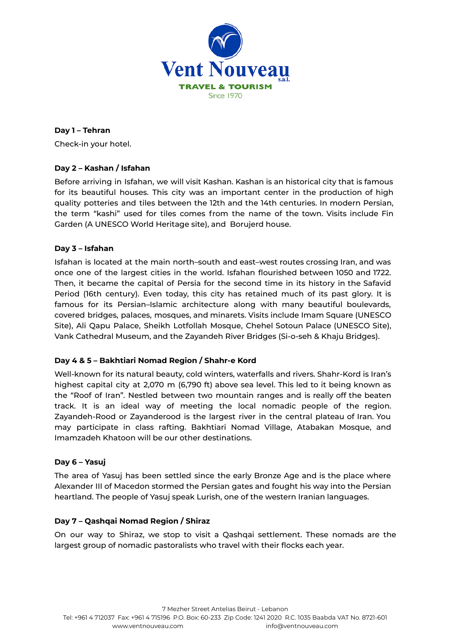

## **Day 1 – Tehran**

Check-in your hotel.

## **Day 2 – Kashan / Isfahan**

Before arriving in Isfahan, we will visit Kashan. Kashan is an historical city that is famous for its beautiful houses. This city was an important center in the production of high quality potteries and tiles between the 12th and the 14th centuries. In modern Persian, the term "kashi" used for tiles comes from the name of the town. Visits include Fin Garden (A UNESCO World Heritage site), and Borujerd house.

## **Day 3 – Isfahan**

Isfahan is located at the main north–south and east–west routes crossing Iran, and was once one of the largest cities in the world. Isfahan flourished between 1050 and 1722. Then, it became the capital of Persia for the second time in its history in the Safavid Period (16th century). Even today, this city has retained much of its past glory. It is famous for its Persian–Islamic architecture along with many beautiful boulevards, covered bridges, palaces, mosques, and minarets. Visits include Imam Square (UNESCO Site), Ali Qapu Palace, Sheikh Lotfollah Mosque, Chehel Sotoun Palace (UNESCO Site), Vank Cathedral Museum, and the Zayandeh River Bridges (Si-o-seh & Khaju Bridges).

## **Day 4 & 5 – Bakhtiari Nomad Region / Shahr-e Kord**

Well-known for its natural beauty, cold winters, waterfalls and rivers. Shahr-Kord is Iran's highest capital city at 2,070 m (6,790 ft) above sea level. This led to it being known as the "Roof of Iran". Nestled between two mountain ranges and is really off the beaten track. It is an ideal way of meeting the local nomadic people of the region. Zayandeh-Rood or Zayanderood is the largest river in the central plateau of Iran. You may participate in class rafting. Bakhtiari Nomad Village, Atabakan Mosque, and Imamzadeh Khatoon will be our other destinations.

#### **Day 6 – Yasuj**

The area of Yasuj has been settled since the early Bronze Age and is the place where Alexander III of Macedon stormed the Persian gates and fought his way into the Persian heartland. The people of Yasuj speak Lurish, one of the western Iranian languages.

## **Day 7 – Qashqai Nomad Region / Shiraz**

On our way to Shiraz, we stop to visit a Qashqai settlement. These nomads are the largest group of nomadic pastoralists who travel with their flocks each year.